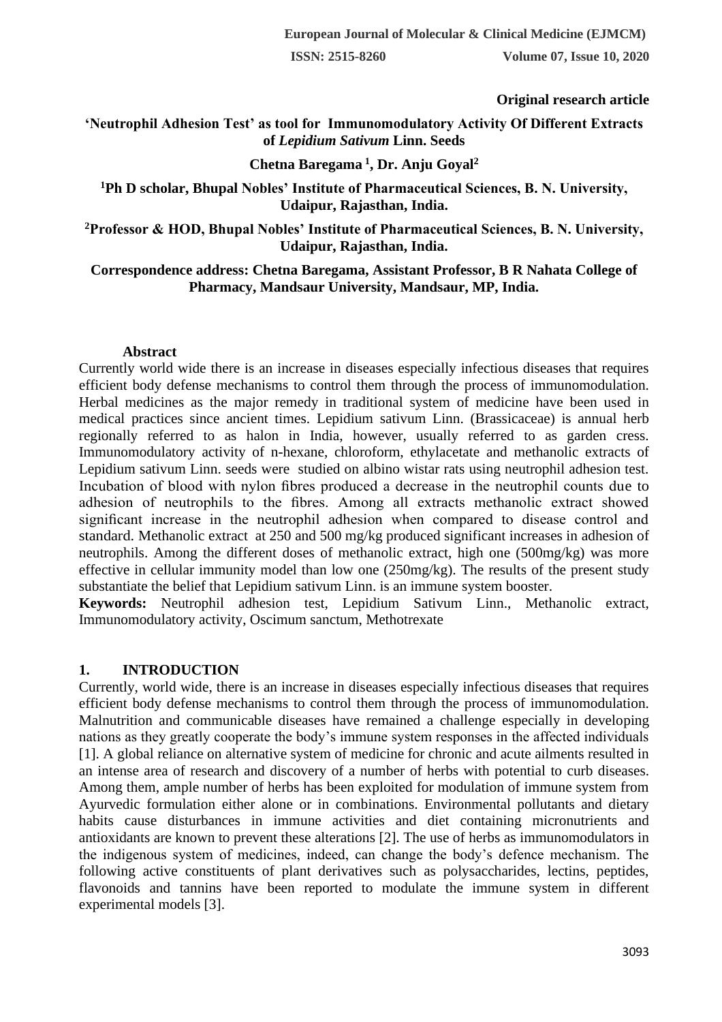#### **Original research article**

### **'Neutrophil Adhesion Test' as tool for Immunomodulatory Activity Of Different Extracts of** *Lepidium Sativum* **Linn. Seeds**

## **Chetna Baregama <sup>1</sup> , Dr. Anju Goyal<sup>2</sup>**

#### **<sup>1</sup>Ph D scholar, Bhupal Nobles' Institute of Pharmaceutical Sciences, B. N. University, Udaipur, Rajasthan, India.**

**<sup>2</sup>Professor & HOD, Bhupal Nobles' Institute of Pharmaceutical Sciences, B. N. University, Udaipur, Rajasthan, India.** 

**Correspondence address: Chetna Baregama, Assistant Professor, B R Nahata College of Pharmacy, Mandsaur University, Mandsaur, MP, India.** 

#### **Abstract**

Currently world wide there is an increase in diseases especially infectious diseases that requires efficient body defense mechanisms to control them through the process of immunomodulation. Herbal medicines as the major remedy in traditional system of medicine have been used in medical practices since ancient times. Lepidium sativum Linn. (Brassicaceae) is annual herb regionally referred to as halon in India, however, usually referred to as garden cress. Immunomodulatory activity of n-hexane, chloroform, ethylacetate and methanolic extracts of Lepidium sativum Linn. seeds were studied on albino wistar rats using neutrophil adhesion test. Incubation of blood with nylon fibres produced a decrease in the neutrophil counts due to adhesion of neutrophils to the fibres. Among all extracts methanolic extract showed significant increase in the neutrophil adhesion when compared to disease control and standard. Methanolic extract at 250 and 500 mg/kg produced significant increases in adhesion of neutrophils. Among the different doses of methanolic extract, high one (500mg/kg) was more effective in cellular immunity model than low one (250mg/kg). The results of the present study substantiate the belief that Lepidium sativum Linn. is an immune system booster.

**Keywords:** Neutrophil adhesion test, Lepidium Sativum Linn., Methanolic extract, Immunomodulatory activity, Oscimum sanctum, Methotrexate

#### **1. INTRODUCTION**

Currently, world wide, there is an increase in diseases especially infectious diseases that requires efficient body defense mechanisms to control them through the process of immunomodulation. Malnutrition and communicable diseases have remained a challenge especially in developing nations as they greatly cooperate the body's immune system responses in the affected individuals [1]. A global reliance on alternative system of medicine for chronic and acute ailments resulted in an intense area of research and discovery of a number of herbs with potential to curb diseases. Among them, ample number of herbs has been exploited for modulation of immune system from Ayurvedic formulation either alone or in combinations. Environmental pollutants and dietary habits cause disturbances in immune activities and diet containing micronutrients and antioxidants are known to prevent these alterations [2]. The use of herbs as immunomodulators in the indigenous system of medicines, indeed, can change the body's defence mechanism. The following active constituents of plant derivatives such as polysaccharides, lectins, peptides, flavonoids and tannins have been reported to modulate the immune system in different experimental models [3].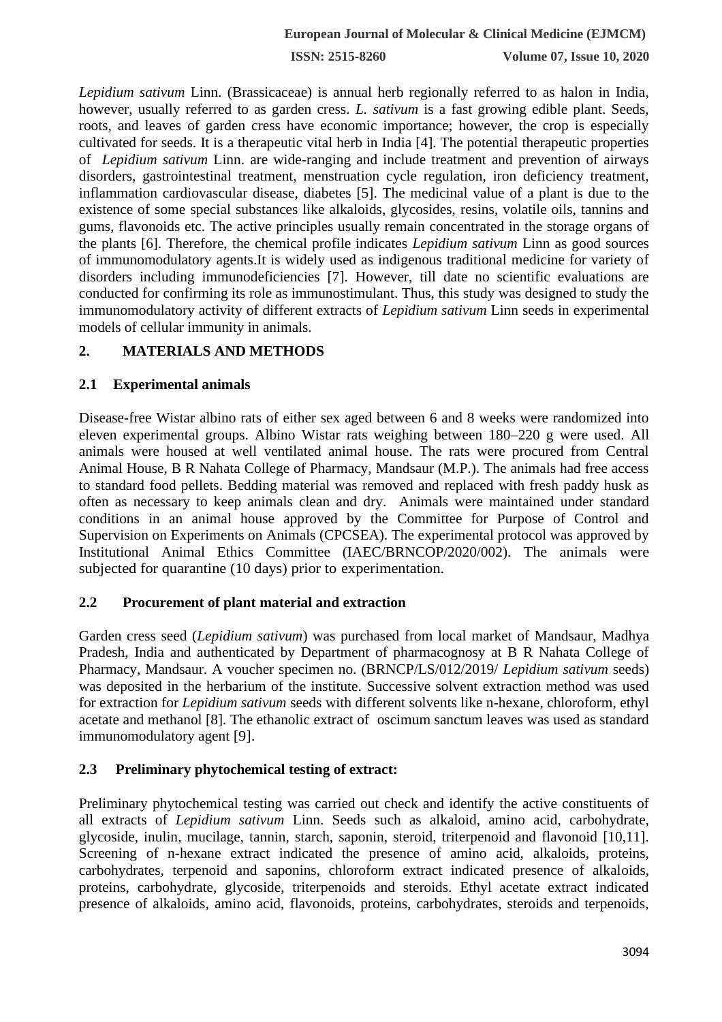**ISSN: 2515-8260 Volume 07, Issue 10, 2020**

*Lepidium sativum* Linn. (Brassicaceae) is annual herb regionally referred to as halon in India, however, usually referred to as garden cress. *L. sativum* is a fast growing edible plant. Seeds, roots, and leaves of garden cress have economic importance; however, the crop is especially cultivated for seeds. It is a therapeutic vital herb in India [4]. The potential therapeutic properties of *Lepidium sativum* Linn. are wide-ranging and include treatment and prevention of airways disorders, gastrointestinal treatment, menstruation cycle regulation, iron deficiency treatment, inflammation cardiovascular disease, diabetes [5]. The medicinal value of a plant is due to the existence of some special substances like alkaloids, glycosides, resins, volatile oils, tannins and gums, flavonoids etc. The active principles usually remain concentrated in the storage organs of the plants [6]. Therefore, the chemical profile indicates *Lepidium sativum* Linn as good sources of immunomodulatory agents.It is widely used as indigenous traditional medicine for variety of disorders including immunodeficiencies [7]. However, till date no scientific evaluations are conducted for confirming its role as immunostimulant. Thus, this study was designed to study the immunomodulatory activity of different extracts of *Lepidium sativum* Linn seeds in experimental models of cellular immunity in animals.

## **2. MATERIALS AND METHODS**

### **2.1 Experimental animals**

Disease-free Wistar albino rats of either sex aged between 6 and 8 weeks were randomized into eleven experimental groups. Albino Wistar rats weighing between 180–220 g were used. All animals were housed at well ventilated animal house. The rats were procured from Central Animal House, B R Nahata College of Pharmacy, Mandsaur (M.P.). The animals had free access to standard food pellets. Bedding material was removed and replaced with fresh paddy husk as often as necessary to keep animals clean and dry. Animals were maintained under standard conditions in an animal house approved by the Committee for Purpose of Control and Supervision on Experiments on Animals (CPCSEA). The experimental protocol was approved by Institutional Animal Ethics Committee (IAEC/BRNCOP/2020/002). The animals were subjected for quarantine (10 days) prior to experimentation.

### **2.2 Procurement of plant material and extraction**

Garden cress seed (*Lepidium sativum*) was purchased from local market of Mandsaur, Madhya Pradesh, India and authenticated by Department of pharmacognosy at B R Nahata College of Pharmacy, Mandsaur. A voucher specimen no. (BRNCP/LS/012/2019/ *Lepidium sativum* seeds) was deposited in the herbarium of the institute. Successive solvent extraction method was used for extraction for *Lepidium sativum* seeds with different solvents like n-hexane, chloroform, ethyl acetate and methanol [8]. The ethanolic extract of oscimum sanctum leaves was used as standard immunomodulatory agent [9].

### **2.3 Preliminary phytochemical testing of extract:**

Preliminary phytochemical testing was carried out check and identify the active constituents of all extracts of *Lepidium sativum* Linn. Seeds such as alkaloid, amino acid, carbohydrate, glycoside, inulin, mucilage, tannin, starch, saponin, steroid, triterpenoid and flavonoid [10,11]. Screening of n-hexane extract indicated the presence of amino acid, alkaloids, proteins, carbohydrates, terpenoid and saponins, chloroform extract indicated presence of alkaloids, proteins, carbohydrate, glycoside, triterpenoids and steroids. Ethyl acetate extract indicated presence of alkaloids, amino acid, flavonoids, proteins, carbohydrates, steroids and terpenoids,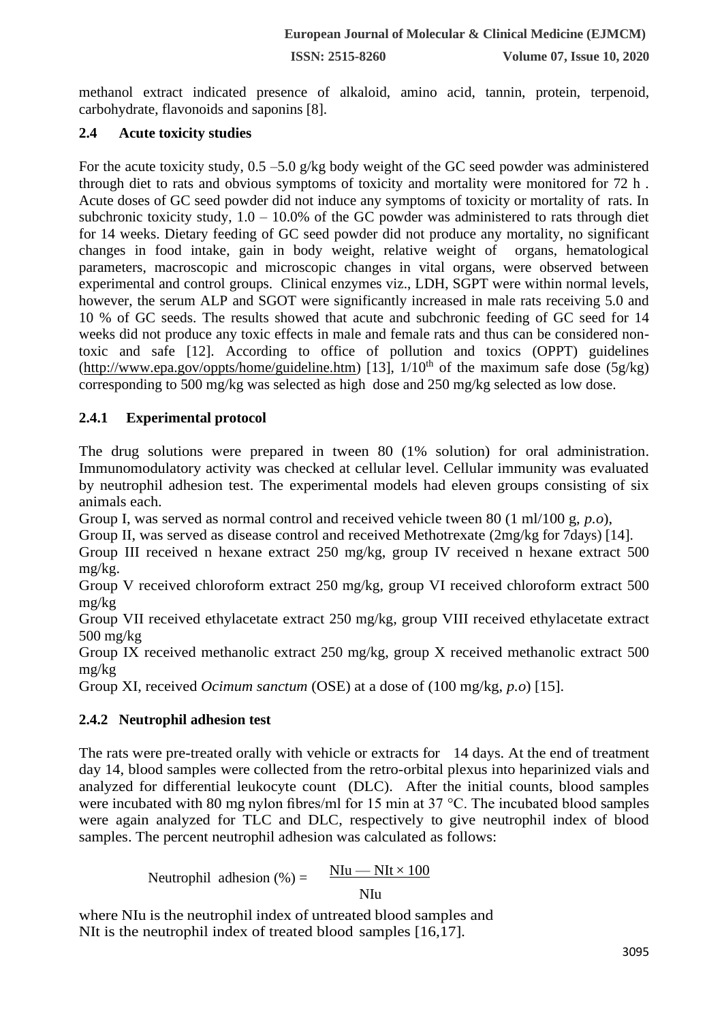methanol extract indicated presence of alkaloid, amino acid, tannin, protein, terpenoid, carbohydrate, flavonoids and saponins [8].

# **2.4 Acute toxicity studies**

For the acute toxicity study,  $0.5 - 5.0$  g/kg body weight of the GC seed powder was administered through diet to rats and obvious symptoms of toxicity and mortality were monitored for 72 h . Acute doses of GC seed powder did not induce any symptoms of toxicity or mortality of rats. In subchronic toxicity study,  $1.0 - 10.0\%$  of the GC powder was administered to rats through diet for 14 weeks. Dietary feeding of GC seed powder did not produce any mortality, no significant changes in food intake, gain in body weight, relative weight of organs, hematological parameters, macroscopic and microscopic changes in vital organs, were observed between experimental and control groups. Clinical enzymes viz., LDH, SGPT were within normal levels, however, the serum ALP and SGOT were significantly increased in male rats receiving 5.0 and 10 % of GC seeds. The results showed that acute and subchronic feeding of GC seed for 14 weeks did not produce any toxic effects in male and female rats and thus can be considered nontoxic and safe [12]. According to office of pollution and toxics (OPPT) guidelines [\(http://www.epa.gov/oppts/home/guideline.htm\)](http://www.epa.gov/oppts/home/guideline.htm) [13],  $1/10<sup>th</sup>$  of the maximum safe dose (5g/kg) corresponding to 500 mg/kg was selected as high dose and 250 mg/kg selected as low dose.

# **2.4.1 Experimental protocol**

The drug solutions were prepared in tween 80 (1% solution) for oral administration. Immunomodulatory activity was checked at cellular level. Cellular immunity was evaluated by neutrophil adhesion test. The experimental models had eleven groups consisting of six animals each.

Group I, was served as normal control and received vehicle tween 80 (1 ml/100 g, *p.o*),

Group II, was served as disease control and received Methotrexate (2mg/kg for 7days) [14].

Group III received n hexane extract 250 mg/kg, group IV received n hexane extract 500 mg/kg.

Group V received chloroform extract 250 mg/kg, group VI received chloroform extract 500 mg/kg

Group VII received ethylacetate extract 250 mg/kg, group VIII received ethylacetate extract 500 mg/kg

Group IX received methanolic extract 250 mg/kg, group X received methanolic extract 500 mg/kg

Group XI, received *Ocimum sanctum* (OSE) at a dose of (100 mg/kg, *p.o*) [15].

# **2.4.2 Neutrophil adhesion test**

The rats were pre-treated orally with vehicle or extracts for 14 days. At the end of treatment day 14, blood samples were collected from the retro-orbital plexus into heparinized vials and analyzed for differential leukocyte count (DLC). After the initial counts, blood samples were incubated with 80 mg nylon fibres/ml for 15 min at 37 °C. The incubated blood samples were again analyzed for TLC and DLC, respectively to give neutrophil index of blood samples. The percent neutrophil adhesion was calculated as follows:

Neutrophil adhesion (
$$
\%
$$
) =  $\frac{N I u - N I t \times 100}{N I u}$ 

where NIu is the neutrophil index of untreated blood samples and NIt is the neutrophil index of treated blood samples [16,17].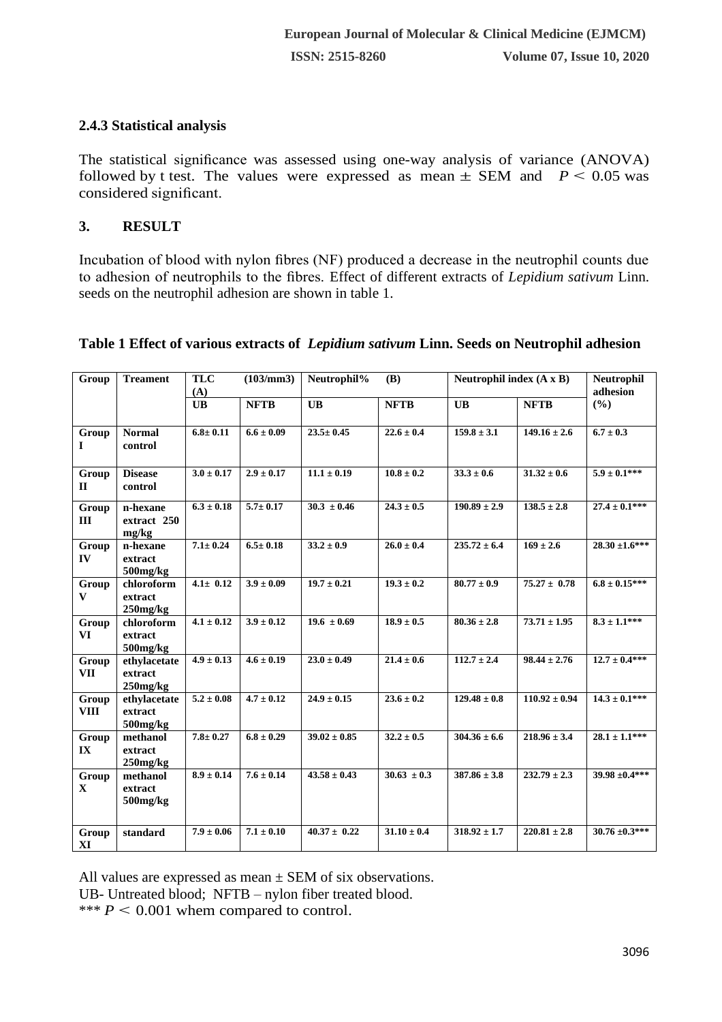### **2.4.3 Statistical analysis**

The statistical significance was assessed using one-way analysis of variance (ANOVA) followed by t test. The values were expressed as mean  $\pm$  SEM and *P* < 0.05 was considered significant.

## **3. RESULT**

Incubation of blood with nylon fibres (NF) produced a decrease in the neutrophil counts due to adhesion of neutrophils to the fibres. Effect of different extracts of *Lepidium sativum* Linn. seeds on the neutrophil adhesion are shown in table 1.

| Group                 | <b>Treament</b>                           | (103/mm3)<br><b>TLC</b><br>(A) |                | Neutrophil%<br>(B) |                 | Neutrophil index $(A \times B)$ |                   | Neutrophil<br>adhesion |
|-----------------------|-------------------------------------------|--------------------------------|----------------|--------------------|-----------------|---------------------------------|-------------------|------------------------|
|                       |                                           | <b>UB</b>                      | <b>NFTB</b>    | <b>UB</b>          | <b>NFTB</b>     | <b>UB</b>                       | <b>NFTB</b>       | (%)                    |
| Group<br>1            | <b>Normal</b><br>control                  | $6.8 \pm 0.11$                 | $6.6 \pm 0.09$ | $23.5 \pm 0.45$    | $22.6 \pm 0.4$  | $159.8 \pm 3.1$                 | $149.16 \pm 2.6$  | $6.7 \pm 0.3$          |
| Group<br>$\mathbf{I}$ | <b>Disease</b><br>control                 | $3.0 \pm 0.17$                 | $2.9 \pm 0.17$ | $11.1 \pm 0.19$    | $10.8 \pm 0.2$  | $33.3 \pm 0.6$                  | $31.32 \pm 0.6$   | $5.9 \pm 0.1***$       |
| Group<br>III          | n-hexane<br>extract 250<br>mg/kg          | $6.3 \pm 0.18$                 | $5.7 \pm 0.17$ | $30.3 \pm 0.46$    | $24.3 \pm 0.5$  | $190.89 \pm 2.9$                | $138.5 \pm 2.8$   | $27.4 \pm 0.1***$      |
| Group<br>IV           | n-hexane<br>extract<br>$500$ mg/ $kg$     | $7.1 \pm 0.24$                 | $6.5 \pm 0.18$ | $33.2 \pm 0.9$     | $26.0 \pm 0.4$  | $235.72 \pm 6.4$                | $169 \pm 2.6$     | $28.30 \pm 1.6$ ***    |
| Group<br>V            | chloroform<br>extract<br>$250$ mg/ $kg$   | $4.1 \pm 0.12$                 | $3.9 \pm 0.09$ | $19.7 \pm 0.21$    | $19.3 \pm 0.2$  | $80.77 \pm 0.9$                 | $75.27 \pm 0.78$  | $6.8 \pm 0.15***$      |
| Group<br>VI           | chloroform<br>extract<br>$500$ mg/ $kg$   | $4.1 \pm 0.12$                 | $3.9 \pm 0.12$ | $19.6 \pm 0.69$    | $18.9 \pm 0.5$  | $80.36 \pm 2.8$                 | $73.71 \pm 1.95$  | $8.3 \pm 1.1$ ***      |
| Group<br><b>VII</b>   | ethylacetate<br>extract<br>$250$ mg/ $kg$ | $4.9 \pm 0.13$                 | $4.6 \pm 0.19$ | $23.0 \pm 0.49$    | $21.4 \pm 0.6$  | $112.7 \pm 2.4$                 | $98.44 \pm 2.76$  | $12.7 \pm 0.4***$      |
| Group<br><b>VIII</b>  | ethylacetate<br>extract<br>$500$ mg/ $kg$ | $5.2 \pm 0.08$                 | $4.7 \pm 0.12$ | $24.9 \pm 0.15$    | $23.6 \pm 0.2$  | $129.48 \pm 0.8$                | $110.92 \pm 0.94$ | $14.3 \pm 0.1***$      |
| Group<br>IX           | methanol<br>extract<br>$250$ mg/ $kg$     | $7.8 \pm 0.27$                 | $6.8 \pm 0.29$ | $39.02 \pm 0.85$   | $32.2 \pm 0.5$  | $304.36 \pm 6.6$                | $218.96 \pm 3.4$  | $28.1 \pm 1.1***$      |
| Group<br>$\mathbf{X}$ | methanol<br>extract<br>$500$ mg/ $kg$     | $8.9 \pm 0.14$                 | $7.6 \pm 0.14$ | $43.58 \pm 0.43$   | $30.63 \pm 0.3$ | $387.86 \pm 3.8$                | $232.79 \pm 2.3$  | $39.98 + 0.4***$       |
| Group<br>XI           | standard                                  | $7.9 \pm 0.06$                 | $7.1 \pm 0.10$ | $40.37 \pm 0.22$   | $31.10 \pm 0.4$ | $318.92 \pm 1.7$                | $220.81 \pm 2.8$  | $30.76 \pm 0.3$ ***    |

#### **Table 1 Effect of various extracts of** *Lepidium sativum* **Linn. Seeds on Neutrophil adhesion**

All values are expressed as mean  $\pm$  SEM of six observations.

UB- Untreated blood; NFTB – nylon fiber treated blood.

\*\*\*  $P < 0.001$  whem compared to control.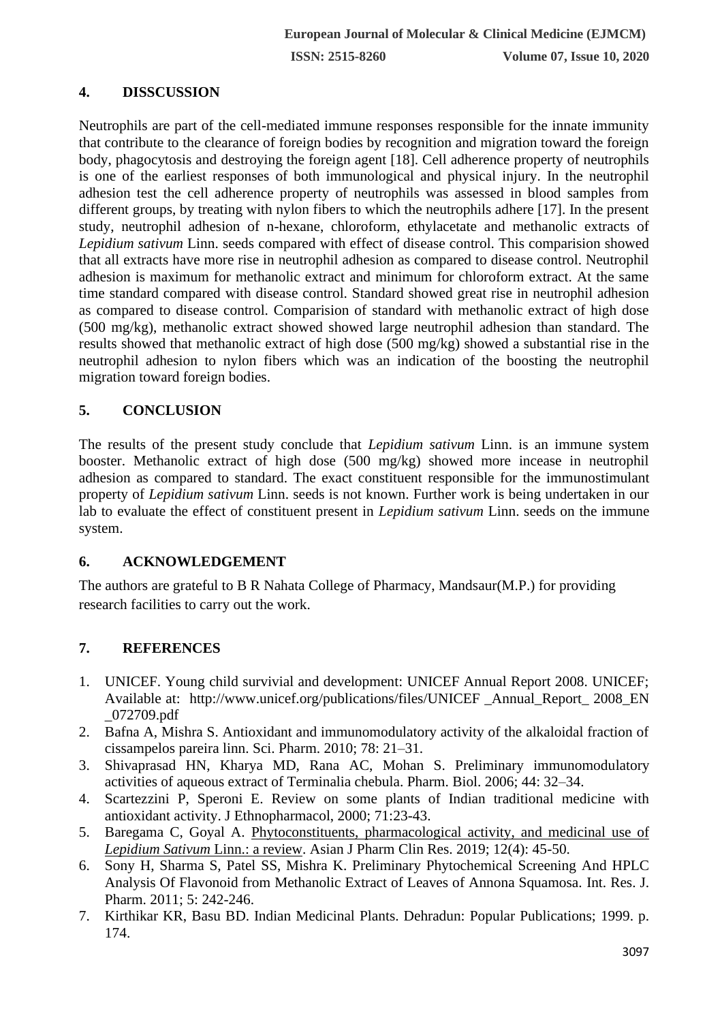## **4. DISSCUSSION**

Neutrophils are part of the cell-mediated immune responses responsible for the innate immunity that contribute to the clearance of foreign bodies by recognition and migration toward the foreign body, phagocytosis and destroying the foreign agent [18]. Cell adherence property of neutrophils is one of the earliest responses of both immunological and physical injury. In the neutrophil adhesion test the cell adherence property of neutrophils was assessed in blood samples from different groups, by treating with nylon fibers to which the neutrophils adhere [17]. In the present study, neutrophil adhesion of n-hexane, chloroform, ethylacetate and methanolic extracts of *Lepidium sativum* Linn. seeds compared with effect of disease control. This comparision showed that all extracts have more rise in neutrophil adhesion as compared to disease control. Neutrophil adhesion is maximum for methanolic extract and minimum for chloroform extract. At the same time standard compared with disease control. Standard showed great rise in neutrophil adhesion as compared to disease control. Comparision of standard with methanolic extract of high dose (500 mg/kg), methanolic extract showed showed large neutrophil adhesion than standard. The results showed that methanolic extract of high dose (500 mg/kg) showed a substantial rise in the neutrophil adhesion to nylon fibers which was an indication of the boosting the neutrophil migration toward foreign bodies.

# **5. CONCLUSION**

The results of the present study conclude that *Lepidium sativum* Linn. is an immune system booster. Methanolic extract of high dose (500 mg/kg) showed more incease in neutrophil adhesion as compared to standard. The exact constituent responsible for the immunostimulant property of *Lepidium sativum* Linn. seeds is not known. Further work is being undertaken in our lab to evaluate the effect of constituent present in *Lepidium sativum* Linn. seeds on the immune system.

### **6. ACKNOWLEDGEMENT**

The authors are grateful to B R Nahata College of Pharmacy, Mandsaur(M.P.) for providing research facilities to carry out the work.

## **7. REFERENCES**

- 1. UNICEF. Young child survivial and development: UNICEF Annual Report 2008. UNICEF; Available at: http://www.unicef.org/publications/files/UNICEF \_Annual\_Report\_ 2008\_EN \_072709.pdf
- 2. Bafna A, Mishra S. Antioxidant and immunomodulatory activity of the alkaloidal fraction of cissampelos pareira linn. Sci. Pharm. 2010; 78: 21–31.
- 3. Shivaprasad HN, Kharya MD, Rana AC, Mohan S. Preliminary immunomodulatory activities of aqueous extract of Terminalia chebula. Pharm. Biol. 2006; 44: 32–34.
- 4. Scartezzini P, Speroni E. Review on some plants of Indian traditional medicine with antioxidant activity. J Ethnopharmacol, 2000; 71:23-43.
- 5. Baregama C, Goyal A. [Phytoconstituents, pharmacological activity, and medicinal use of](http://scholar.google.com/scholar?cluster=1941454234172508865&hl=en&oi=scholarr)  *[Lepidium Sativum](http://scholar.google.com/scholar?cluster=1941454234172508865&hl=en&oi=scholarr)* Linn.: a review. Asian J Pharm Clin Res. 2019; 12(4): 45-50.
- 6. Sony H, Sharma S, Patel SS, Mishra K. Preliminary Phytochemical Screening And HPLC Analysis Of Flavonoid from Methanolic Extract of Leaves of Annona Squamosa. Int. Res. J. Pharm. 2011; 5: 242-246.
- 7. Kirthikar KR, Basu BD. Indian Medicinal Plants. Dehradun: Popular Publications; 1999. p. 174.